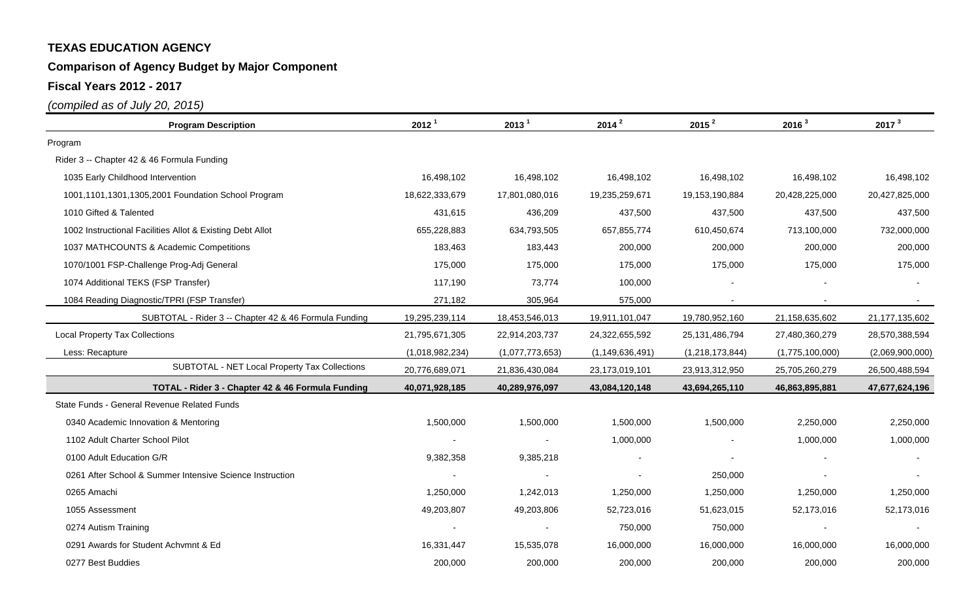### **Comparison of Agency Budget by Major Component**

**Fiscal Years 2012 - 2017**

| <b>Program Description</b>                                | 2012 <sup>1</sup> | 2013 <sup>1</sup> | $2014^2$           | 2015 <sup>2</sup> | 2016 <sup>3</sup> | 2017 <sup>3</sup> |  |
|-----------------------------------------------------------|-------------------|-------------------|--------------------|-------------------|-------------------|-------------------|--|
| Program                                                   |                   |                   |                    |                   |                   |                   |  |
| Rider 3 -- Chapter 42 & 46 Formula Funding                |                   |                   |                    |                   |                   |                   |  |
| 1035 Early Childhood Intervention                         | 16,498,102        | 16,498,102        | 16,498,102         | 16,498,102        | 16,498,102        | 16,498,102        |  |
| 1001,1101,1301,1305,2001 Foundation School Program        | 18,622,333,679    | 17,801,080,016    | 19,235,259,671     | 19,153,190,884    | 20,428,225,000    | 20,427,825,000    |  |
| 1010 Gifted & Talented                                    | 431,615           | 436,209           | 437,500            | 437,500           | 437,500           | 437,500           |  |
| 1002 Instructional Facilities Allot & Existing Debt Allot | 655,228,883       | 634,793,505       | 657,855,774        | 610,450,674       | 713,100,000       | 732,000,000       |  |
| 1037 MATHCOUNTS & Academic Competitions                   | 183,463           | 183,443           | 200,000            | 200,000           | 200,000           | 200,000           |  |
| 1070/1001 FSP-Challenge Prog-Adj General                  | 175,000           | 175,000           | 175,000            | 175,000           | 175,000           | 175,000           |  |
| 1074 Additional TEKS (FSP Transfer)                       | 117,190           | 73,774            | 100,000            |                   |                   |                   |  |
| 1084 Reading Diagnostic/TPRI (FSP Transfer)               | 271,182           | 305,964           | 575,000            |                   |                   |                   |  |
| SUBTOTAL - Rider 3 -- Chapter 42 & 46 Formula Funding     | 19,295,239,114    | 18,453,546,013    | 19,911,101,047     | 19,780,952,160    | 21,158,635,602    | 21,177,135,602    |  |
| <b>Local Property Tax Collections</b>                     | 21,795,671,305    | 22,914,203,737    | 24,322,655,592     | 25, 131, 486, 794 | 27,480,360,279    | 28,570,388,594    |  |
| Less: Recapture                                           | (1,018,982,234)   | (1,077,773,653)   | (1, 149, 636, 491) | (1,218,173,844)   | (1,775,100,000)   | (2,069,900,000)   |  |
| SUBTOTAL - NET Local Property Tax Collections             | 20,776,689,071    | 21,836,430,084    | 23,173,019,101     | 23,913,312,950    | 25,705,260,279    | 26,500,488,594    |  |
| TOTAL - Rider 3 - Chapter 42 & 46 Formula Funding         | 40,071,928,185    | 40,289,976,097    | 43,084,120,148     | 43,694,265,110    | 46,863,895,881    | 47,677,624,196    |  |
| State Funds - General Revenue Related Funds               |                   |                   |                    |                   |                   |                   |  |
| 0340 Academic Innovation & Mentoring                      | 1,500,000         | 1,500,000         | 1,500,000          | 1,500,000         | 2,250,000         | 2,250,000         |  |
| 1102 Adult Charter School Pilot                           |                   |                   | 1,000,000          |                   | 1,000,000         | 1,000,000         |  |
| 0100 Adult Education G/R                                  | 9,382,358         | 9,385,218         |                    |                   |                   |                   |  |
| 0261 After School & Summer Intensive Science Instruction  |                   |                   |                    | 250,000           |                   |                   |  |
| 0265 Amachi                                               | 1,250,000         | 1,242,013         | 1,250,000          | 1,250,000         | 1,250,000         | 1,250,000         |  |
| 1055 Assessment                                           | 49,203,807        | 49,203,806        | 52,723,016         | 51,623,015        | 52,173,016        | 52,173,016        |  |
| 0274 Autism Training                                      |                   |                   | 750,000            | 750,000           |                   |                   |  |
| 0291 Awards for Student Achymnt & Ed                      | 16,331,447        | 15,535,078        | 16,000,000         | 16,000,000        | 16,000,000        | 16,000,000        |  |
| 0277 Best Buddies                                         | 200,000           | 200,000           | 200,000            | 200,000           | 200,000           | 200,000           |  |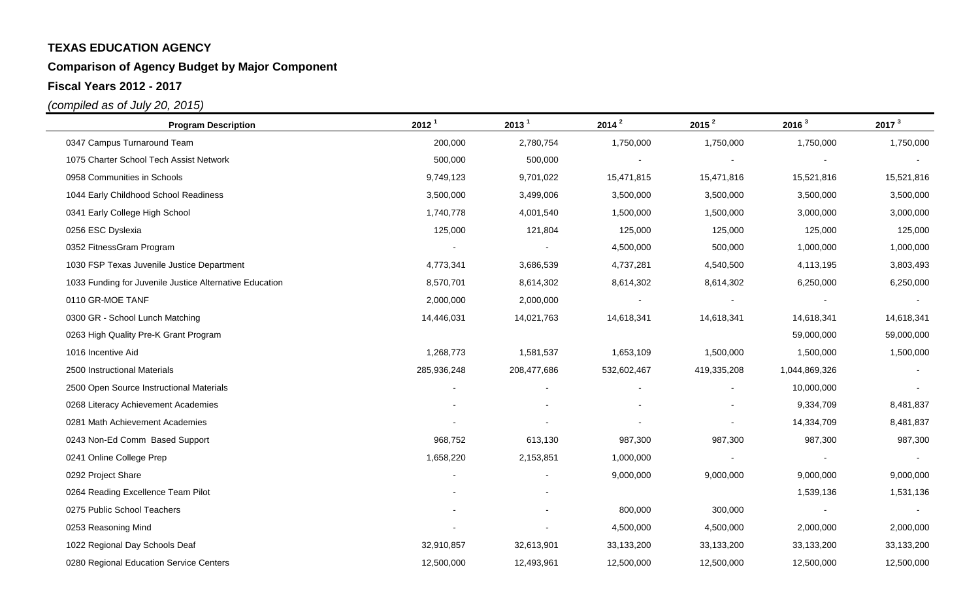# **Comparison of Agency Budget by Major Component**

**Fiscal Years 2012 - 2017**

| <b>Program Description</b>                              | 2012 <sup>1</sup> | 2013 <sup>1</sup> | $2014^2$    | 2015 <sup>2</sup>        | 2016 <sup>3</sup> | 2017 <sup>3</sup> |
|---------------------------------------------------------|-------------------|-------------------|-------------|--------------------------|-------------------|-------------------|
| 0347 Campus Turnaround Team                             | 200,000           | 2,780,754         | 1,750,000   | 1,750,000                | 1,750,000         | 1,750,000         |
| 1075 Charter School Tech Assist Network                 | 500,000           | 500,000           |             |                          |                   |                   |
| 0958 Communities in Schools                             | 9,749,123         | 9,701,022         | 15,471,815  | 15,471,816               | 15,521,816        | 15,521,816        |
| 1044 Early Childhood School Readiness                   | 3,500,000         | 3,499,006         | 3,500,000   | 3,500,000                | 3,500,000         | 3,500,000         |
| 0341 Early College High School                          | 1,740,778         | 4,001,540         | 1,500,000   | 1,500,000                | 3,000,000         | 3,000,000         |
| 0256 ESC Dyslexia                                       | 125,000           | 121,804           | 125,000     | 125,000                  | 125,000           | 125,000           |
| 0352 FitnessGram Program                                |                   |                   | 4,500,000   | 500,000                  | 1,000,000         | 1,000,000         |
| 1030 FSP Texas Juvenile Justice Department              | 4,773,341         | 3,686,539         | 4,737,281   | 4,540,500                | 4,113,195         | 3,803,493         |
| 1033 Funding for Juvenile Justice Alternative Education | 8,570,701         | 8,614,302         | 8,614,302   | 8,614,302                | 6,250,000         | 6,250,000         |
| 0110 GR-MOE TANF                                        | 2,000,000         | 2,000,000         |             |                          |                   |                   |
| 0300 GR - School Lunch Matching                         | 14,446,031        | 14,021,763        | 14,618,341  | 14,618,341               | 14,618,341        | 14,618,341        |
| 0263 High Quality Pre-K Grant Program                   |                   |                   |             |                          | 59,000,000        | 59,000,000        |
| 1016 Incentive Aid                                      | 1,268,773         | 1,581,537         | 1,653,109   | 1,500,000                | 1,500,000         | 1,500,000         |
| 2500 Instructional Materials                            | 285,936,248       | 208,477,686       | 532,602,467 | 419,335,208              | 1,044,869,326     |                   |
| 2500 Open Source Instructional Materials                |                   |                   |             |                          | 10,000,000        |                   |
| 0268 Literacy Achievement Academies                     |                   |                   |             |                          | 9,334,709         | 8,481,837         |
| 0281 Math Achievement Academies                         |                   |                   |             | $\overline{\phantom{a}}$ | 14,334,709        | 8,481,837         |
| 0243 Non-Ed Comm Based Support                          | 968,752           | 613,130           | 987,300     | 987,300                  | 987,300           | 987,300           |
| 0241 Online College Prep                                | 1,658,220         | 2,153,851         | 1,000,000   |                          |                   |                   |
| 0292 Project Share                                      |                   |                   | 9,000,000   | 9,000,000                | 9,000,000         | 9,000,000         |
| 0264 Reading Excellence Team Pilot                      |                   |                   |             |                          | 1,539,136         | 1,531,136         |
| 0275 Public School Teachers                             |                   |                   | 800,000     | 300,000                  |                   |                   |
| 0253 Reasoning Mind                                     |                   |                   | 4,500,000   | 4,500,000                | 2,000,000         | 2,000,000         |
| 1022 Regional Day Schools Deaf                          | 32,910,857        | 32,613,901        | 33,133,200  | 33,133,200               | 33,133,200        | 33, 133, 200      |
| 0280 Regional Education Service Centers                 | 12,500,000        | 12,493,961        | 12,500,000  | 12,500,000               | 12,500,000        | 12,500,000        |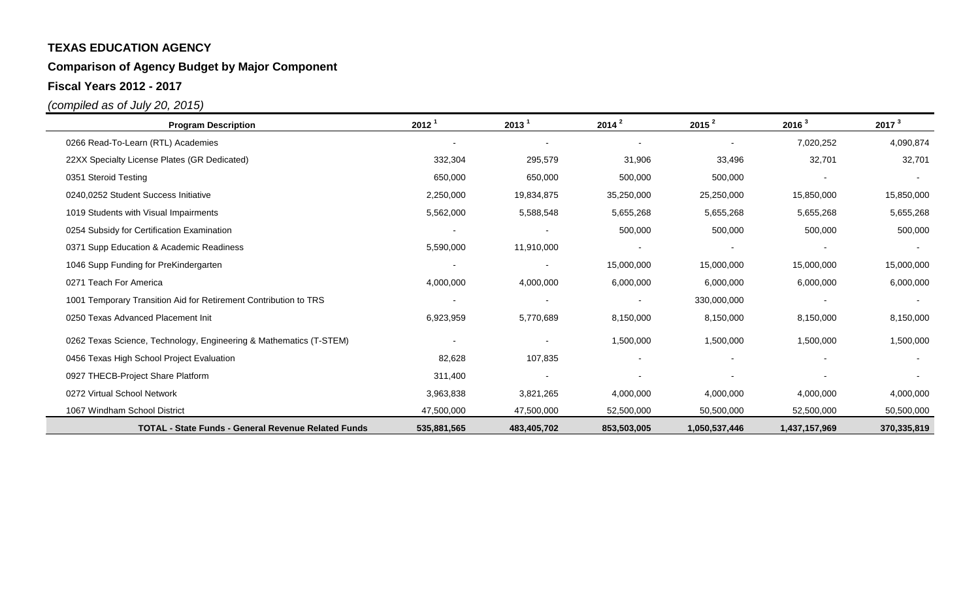# **Comparison of Agency Budget by Major Component**

**Fiscal Years 2012 - 2017**

| <b>Program Description</b>                                         | 2012 <sup>1</sup>        | 2013 <sup>1</sup>        | $2014^2$                 | $2015^2$      | 2016 <sup>3</sup> | 2017 <sup>3</sup> |
|--------------------------------------------------------------------|--------------------------|--------------------------|--------------------------|---------------|-------------------|-------------------|
| 0266 Read-To-Learn (RTL) Academies                                 | $\overline{\phantom{a}}$ |                          |                          |               | 7,020,252         | 4,090,874         |
| 22XX Specialty License Plates (GR Dedicated)                       | 332,304                  | 295,579                  | 31,906                   | 33,496        | 32,701            | 32,701            |
| 0351 Steroid Testing                                               | 650,000                  | 650,000                  | 500,000                  | 500,000       |                   |                   |
| 0240,0252 Student Success Initiative                               | 2,250,000                | 19,834,875               | 35,250,000               | 25,250,000    | 15,850,000        | 15,850,000        |
| 1019 Students with Visual Impairments                              | 5,562,000                | 5,588,548                | 5,655,268                | 5,655,268     | 5,655,268         | 5,655,268         |
| 0254 Subsidy for Certification Examination                         | $\overline{\phantom{a}}$ |                          | 500,000                  | 500,000       | 500,000           | 500,000           |
| 0371 Supp Education & Academic Readiness                           | 5,590,000                | 11,910,000               |                          |               |                   |                   |
| 1046 Supp Funding for PreKindergarten                              | $\blacksquare$           | $\overline{\phantom{a}}$ | 15,000,000               | 15,000,000    | 15,000,000        | 15,000,000        |
| 0271 Teach For America                                             | 4,000,000                | 4,000,000                | 6,000,000                | 6,000,000     | 6,000,000         | 6,000,000         |
| 1001 Temporary Transition Aid for Retirement Contribution to TRS   |                          |                          | $\overline{\phantom{a}}$ | 330,000,000   |                   |                   |
| 0250 Texas Advanced Placement Init                                 | 6,923,959                | 5,770,689                | 8,150,000                | 8,150,000     | 8,150,000         | 8,150,000         |
| 0262 Texas Science, Technology, Engineering & Mathematics (T-STEM) |                          |                          | 1,500,000                | 1,500,000     | 1,500,000         | 1,500,000         |
| 0456 Texas High School Project Evaluation                          | 82,628                   | 107,835                  | $\overline{\phantom{a}}$ |               |                   |                   |
| 0927 THECB-Project Share Platform                                  | 311,400                  |                          |                          |               |                   |                   |
| 0272 Virtual School Network                                        | 3,963,838                | 3,821,265                | 4,000,000                | 4,000,000     | 4,000,000         | 4,000,000         |
| 1067 Windham School District                                       | 47,500,000               | 47,500,000               | 52,500,000               | 50,500,000    | 52,500,000        | 50,500,000        |
| <b>TOTAL - State Funds - General Revenue Related Funds</b>         | 535,881,565              | 483,405,702              | 853,503,005              | 1,050,537,446 | 1,437,157,969     | 370,335,819       |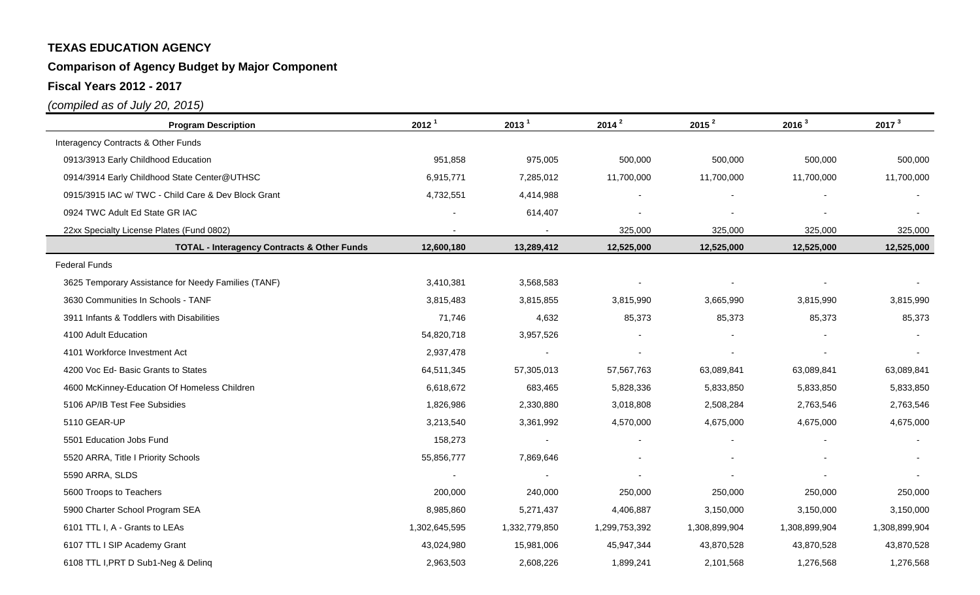# **Comparison of Agency Budget by Major Component**

**Fiscal Years 2012 - 2017**

| <b>Program Description</b>                             | 2012 <sup>1</sup> | 2013 <sup>1</sup> | 2014 <sup>2</sup> | 2015 <sup>2</sup> | 2016 <sup>3</sup> | 2017 <sup>3</sup> |
|--------------------------------------------------------|-------------------|-------------------|-------------------|-------------------|-------------------|-------------------|
| Interagency Contracts & Other Funds                    |                   |                   |                   |                   |                   |                   |
| 0913/3913 Early Childhood Education                    | 951,858           | 975,005           | 500,000           | 500,000           | 500,000           | 500,000           |
| 0914/3914 Early Childhood State Center@UTHSC           | 6,915,771         | 7,285,012         | 11,700,000        | 11,700,000        | 11,700,000        | 11,700,000        |
| 0915/3915 IAC w/ TWC - Child Care & Dev Block Grant    | 4,732,551         | 4,414,988         |                   |                   |                   |                   |
| 0924 TWC Adult Ed State GR IAC                         |                   | 614,407           |                   |                   |                   |                   |
| 22xx Specialty License Plates (Fund 0802)              |                   |                   | 325,000           | 325,000           | 325,000           | 325,000           |
| <b>TOTAL - Interagency Contracts &amp; Other Funds</b> | 12,600,180        | 13,289,412        | 12,525,000        | 12,525,000        | 12,525,000        | 12,525,000        |
| <b>Federal Funds</b>                                   |                   |                   |                   |                   |                   |                   |
| 3625 Temporary Assistance for Needy Families (TANF)    | 3,410,381         | 3,568,583         |                   |                   |                   |                   |
| 3630 Communities In Schools - TANF                     | 3,815,483         | 3,815,855         | 3,815,990         | 3,665,990         | 3,815,990         | 3,815,990         |
| 3911 Infants & Toddlers with Disabilities              | 71,746            | 4,632             | 85,373            | 85,373            | 85,373            | 85,373            |
| 4100 Adult Education                                   | 54,820,718        | 3,957,526         |                   |                   |                   |                   |
| 4101 Workforce Investment Act                          | 2,937,478         |                   |                   |                   |                   |                   |
| 4200 Voc Ed- Basic Grants to States                    | 64,511,345        | 57,305,013        | 57,567,763        | 63,089,841        | 63,089,841        | 63,089,841        |
| 4600 McKinney-Education Of Homeless Children           | 6,618,672         | 683,465           | 5,828,336         | 5,833,850         | 5,833,850         | 5,833,850         |
| 5106 AP/IB Test Fee Subsidies                          | 1,826,986         | 2,330,880         | 3,018,808         | 2,508,284         | 2,763,546         | 2,763,546         |
| 5110 GEAR-UP                                           | 3,213,540         | 3,361,992         | 4,570,000         | 4,675,000         | 4,675,000         | 4,675,000         |
| 5501 Education Jobs Fund                               | 158,273           |                   |                   |                   |                   |                   |
| 5520 ARRA, Title I Priority Schools                    | 55,856,777        | 7,869,646         |                   |                   |                   |                   |
| 5590 ARRA, SLDS                                        |                   |                   |                   |                   |                   |                   |
| 5600 Troops to Teachers                                | 200,000           | 240,000           | 250,000           | 250,000           | 250,000           | 250,000           |
| 5900 Charter School Program SEA                        | 8,985,860         | 5,271,437         | 4,406,887         | 3,150,000         | 3,150,000         | 3,150,000         |
| 6101 TTL I, A - Grants to LEAs                         | 1,302,645,595     | 1,332,779,850     | 1,299,753,392     | 1,308,899,904     | 1,308,899,904     | 1,308,899,904     |
| 6107 TTL I SIP Academy Grant                           | 43,024,980        | 15,981,006        | 45,947,344        | 43,870,528        | 43,870,528        | 43,870,528        |
| 6108 TTL I, PRT D Sub1-Neg & Delinq                    | 2,963,503         | 2,608,226         | 1,899,241         | 2,101,568         | 1,276,568         | 1,276,568         |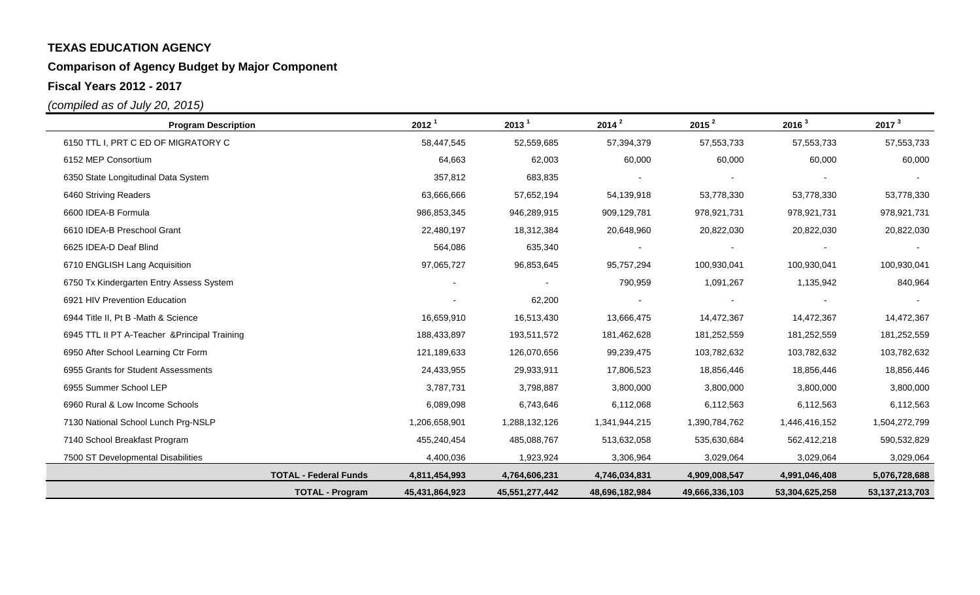# **Comparison of Agency Budget by Major Component**

**Fiscal Years 2012 - 2017**

| <b>Program Description</b>                    |                              | 2012 <sup>1</sup> | 2013 <sup>1</sup> | $2014^2$       | 2015 <sup>2</sup> | 2016 <sup>3</sup> | 2017 <sup>3</sup> |
|-----------------------------------------------|------------------------------|-------------------|-------------------|----------------|-------------------|-------------------|-------------------|
| 6150 TTL I, PRT C ED OF MIGRATORY C           |                              | 58,447,545        | 52,559,685        | 57,394,379     | 57,553,733        | 57,553,733        | 57, 553, 733      |
| 6152 MEP Consortium                           |                              | 64,663            | 62,003            | 60,000         | 60,000            | 60,000            | 60,000            |
| 6350 State Longitudinal Data System           |                              | 357,812           | 683,835           |                |                   |                   |                   |
| 6460 Striving Readers                         |                              | 63,666,666        | 57,652,194        | 54,139,918     | 53,778,330        | 53,778,330        | 53,778,330        |
| 6600 IDEA-B Formula                           |                              | 986,853,345       | 946,289,915       | 909,129,781    | 978,921,731       | 978,921,731       | 978,921,731       |
| 6610 IDEA-B Preschool Grant                   |                              | 22,480,197        | 18,312,384        | 20,648,960     | 20,822,030        | 20,822,030        | 20,822,030        |
| 6625 IDEA-D Deaf Blind                        |                              | 564,086           | 635,340           |                |                   |                   |                   |
| 6710 ENGLISH Lang Acquisition                 |                              | 97,065,727        | 96,853,645        | 95,757,294     | 100,930,041       | 100,930,041       | 100,930,041       |
| 6750 Tx Kindergarten Entry Assess System      |                              | $\blacksquare$    |                   | 790,959        | 1,091,267         | 1,135,942         | 840,964           |
| 6921 HIV Prevention Education                 |                              |                   | 62,200            |                |                   |                   |                   |
| 6944 Title II, Pt B -Math & Science           |                              | 16,659,910        | 16,513,430        | 13,666,475     | 14,472,367        | 14,472,367        | 14,472,367        |
| 6945 TTL II PT A-Teacher & Principal Training |                              | 188,433,897       | 193,511,572       | 181,462,628    | 181,252,559       | 181,252,559       | 181,252,559       |
| 6950 After School Learning Ctr Form           |                              | 121,189,633       | 126,070,656       | 99,239,475     | 103,782,632       | 103,782,632       | 103,782,632       |
| 6955 Grants for Student Assessments           |                              | 24,433,955        | 29,933,911        | 17,806,523     | 18,856,446        | 18,856,446        | 18,856,446        |
| 6955 Summer School LEP                        |                              | 3,787,731         | 3,798,887         | 3,800,000      | 3,800,000         | 3,800,000         | 3,800,000         |
| 6960 Rural & Low Income Schools               |                              | 6,089,098         | 6,743,646         | 6,112,068      | 6,112,563         | 6,112,563         | 6,112,563         |
| 7130 National School Lunch Prg-NSLP           |                              | 1,206,658,901     | 1,288,132,126     | 1,341,944,215  | 1,390,784,762     | 1,446,416,152     | 1,504,272,799     |
| 7140 School Breakfast Program                 |                              | 455,240,454       | 485,088,767       | 513,632,058    | 535,630,684       | 562,412,218       | 590,532,829       |
| 7500 ST Developmental Disabilities            |                              | 4,400,036         | 1,923,924         | 3,306,964      | 3,029,064         | 3,029,064         | 3,029,064         |
|                                               | <b>TOTAL - Federal Funds</b> | 4,811,454,993     | 4,764,606,231     | 4,746,034,831  | 4,909,008,547     | 4,991,046,408     | 5,076,728,688     |
|                                               | <b>TOTAL - Program</b>       | 45,431,864,923    | 45,551,277,442    | 48,696,182,984 | 49,666,336,103    | 53,304,625,258    | 53, 137, 213, 703 |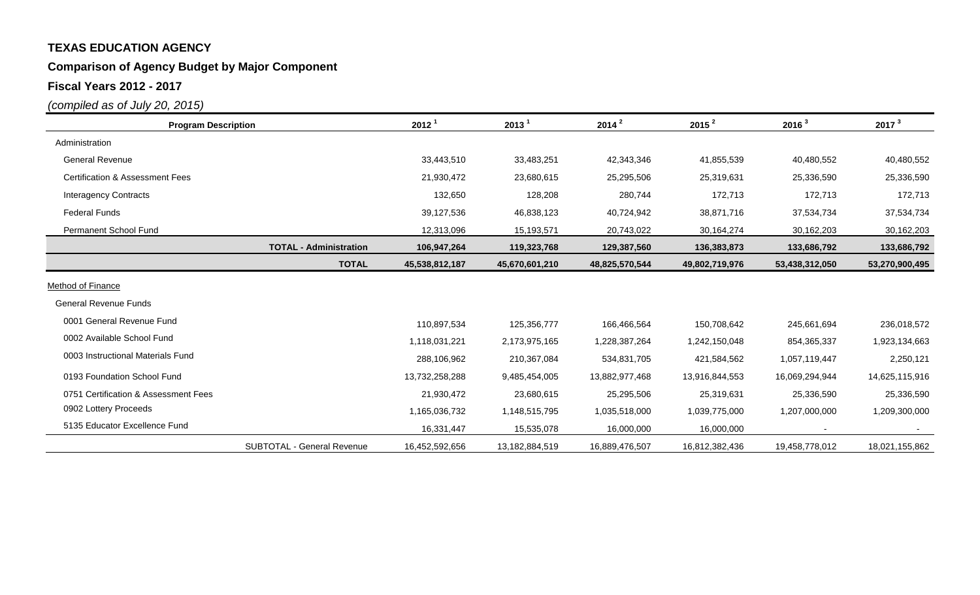### **Comparison of Agency Budget by Major Component**

**Fiscal Years 2012 - 2017**

| <b>Program Description</b>                 |                               | 2012 <sup>1</sup> | 2013 <sup>1</sup> | $2014^2$       | $2015^2$       | 2016 <sup>3</sup> | 2017 <sup>3</sup> |
|--------------------------------------------|-------------------------------|-------------------|-------------------|----------------|----------------|-------------------|-------------------|
| Administration                             |                               |                   |                   |                |                |                   |                   |
| <b>General Revenue</b>                     |                               | 33,443,510        | 33,483,251        | 42,343,346     | 41,855,539     | 40,480,552        | 40,480,552        |
| <b>Certification &amp; Assessment Fees</b> |                               | 21,930,472        | 23,680,615        | 25,295,506     | 25,319,631     | 25,336,590        | 25,336,590        |
| <b>Interagency Contracts</b>               |                               | 132,650           | 128,208           | 280,744        | 172,713        | 172,713           | 172,713           |
| <b>Federal Funds</b>                       |                               | 39,127,536        | 46,838,123        | 40,724,942     | 38,871,716     | 37,534,734        | 37,534,734        |
| Permanent School Fund                      |                               | 12,313,096        | 15,193,571        | 20,743,022     | 30,164,274     | 30,162,203        | 30,162,203        |
|                                            | <b>TOTAL - Administration</b> | 106,947,264       | 119,323,768       | 129,387,560    | 136,383,873    | 133,686,792       | 133,686,792       |
|                                            | <b>TOTAL</b>                  | 45,538,812,187    | 45,670,601,210    | 48,825,570,544 | 49,802,719,976 | 53,438,312,050    | 53,270,900,495    |
| Method of Finance                          |                               |                   |                   |                |                |                   |                   |
| <b>General Revenue Funds</b>               |                               |                   |                   |                |                |                   |                   |
| 0001 General Revenue Fund                  |                               | 110,897,534       | 125,356,777       | 166,466,564    | 150,708,642    | 245,661,694       | 236,018,572       |
| 0002 Available School Fund                 |                               | 1,118,031,221     | 2,173,975,165     | 1,228,387,264  | 1,242,150,048  | 854,365,337       | 1,923,134,663     |
| 0003 Instructional Materials Fund          |                               | 288,106,962       | 210,367,084       | 534,831,705    | 421,584,562    | 1,057,119,447     | 2,250,121         |
| 0193 Foundation School Fund                |                               | 13,732,258,288    | 9,485,454,005     | 13,882,977,468 | 13,916,844,553 | 16,069,294,944    | 14,625,115,916    |
| 0751 Certification & Assessment Fees       |                               | 21,930,472        | 23,680,615        | 25,295,506     | 25,319,631     | 25,336,590        | 25,336,590        |
| 0902 Lottery Proceeds                      |                               | 1,165,036,732     | 1,148,515,795     | 1,035,518,000  | 1,039,775,000  | 1,207,000,000     | 1,209,300,000     |
| 5135 Educator Excellence Fund              |                               | 16,331,447        | 15,535,078        | 16,000,000     | 16,000,000     |                   |                   |
|                                            | SUBTOTAL - General Revenue    | 16,452,592,656    | 13,182,884,519    | 16,889,476,507 | 16,812,382,436 | 19,458,778,012    | 18,021,155,862    |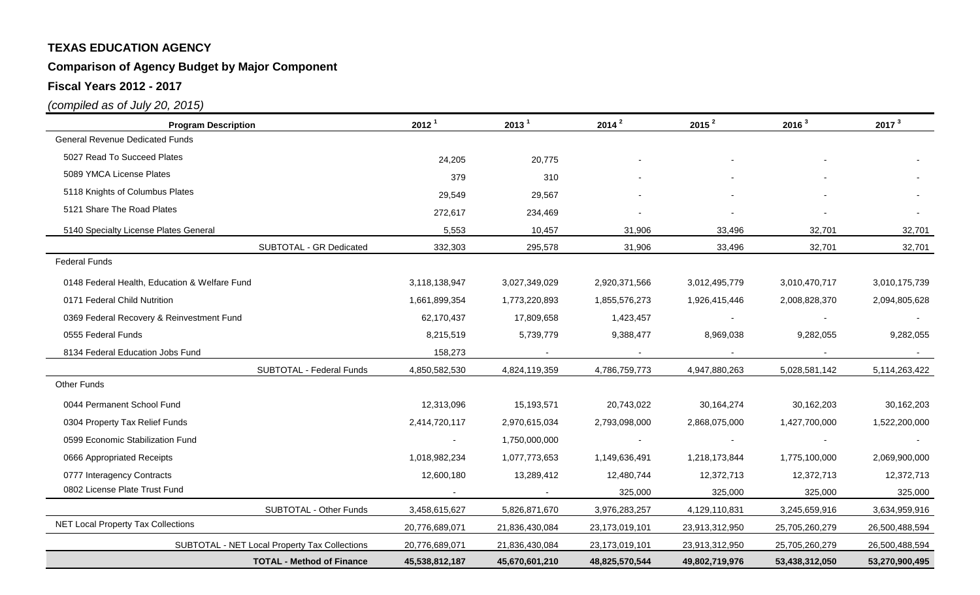# **Comparison of Agency Budget by Major Component**

**Fiscal Years 2012 - 2017**

| <b>Program Description</b>                    | 2012 <sup>1</sup> | 2013 <sup>1</sup> | $2014^2$       | 2015 <sup>2</sup> | 2016 <sup>3</sup> | 2017 <sup>3</sup> |
|-----------------------------------------------|-------------------|-------------------|----------------|-------------------|-------------------|-------------------|
| <b>General Revenue Dedicated Funds</b>        |                   |                   |                |                   |                   |                   |
| 5027 Read To Succeed Plates                   | 24,205            | 20,775            |                |                   |                   |                   |
| 5089 YMCA License Plates                      | 379               | 310               |                |                   |                   |                   |
| 5118 Knights of Columbus Plates               | 29,549            | 29,567            |                |                   |                   |                   |
| 5121 Share The Road Plates                    | 272,617           | 234,469           |                |                   |                   |                   |
| 5140 Specialty License Plates General         | 5,553             | 10,457            | 31,906         | 33,496            | 32,701            | 32,701            |
| SUBTOTAL - GR Dedicated                       | 332,303           | 295,578           | 31,906         | 33,496            | 32,701            | 32,701            |
| <b>Federal Funds</b>                          |                   |                   |                |                   |                   |                   |
| 0148 Federal Health, Education & Welfare Fund | 3,118,138,947     | 3,027,349,029     | 2,920,371,566  | 3,012,495,779     | 3,010,470,717     | 3,010,175,739     |
| 0171 Federal Child Nutrition                  | 1,661,899,354     | 1,773,220,893     | 1,855,576,273  | 1,926,415,446     | 2,008,828,370     | 2,094,805,628     |
| 0369 Federal Recovery & Reinvestment Fund     | 62,170,437        | 17,809,658        | 1,423,457      |                   |                   |                   |
| 0555 Federal Funds                            | 8,215,519         | 5,739,779         | 9,388,477      | 8,969,038         | 9,282,055         | 9,282,055         |
| 8134 Federal Education Jobs Fund              | 158,273           |                   |                |                   |                   |                   |
| SUBTOTAL - Federal Funds                      | 4,850,582,530     | 4,824,119,359     | 4,786,759,773  | 4,947,880,263     | 5,028,581,142     | 5,114,263,422     |
| <b>Other Funds</b>                            |                   |                   |                |                   |                   |                   |
| 0044 Permanent School Fund                    | 12,313,096        | 15,193,571        | 20,743,022     | 30,164,274        | 30,162,203        | 30,162,203        |
| 0304 Property Tax Relief Funds                | 2,414,720,117     | 2,970,615,034     | 2,793,098,000  | 2,868,075,000     | 1,427,700,000     | 1,522,200,000     |
| 0599 Economic Stabilization Fund              |                   | 1,750,000,000     |                |                   |                   |                   |
| 0666 Appropriated Receipts                    | 1,018,982,234     | 1,077,773,653     | 1,149,636,491  | 1,218,173,844     | 1,775,100,000     | 2,069,900,000     |
| 0777 Interagency Contracts                    | 12,600,180        | 13,289,412        | 12,480,744     | 12,372,713        | 12,372,713        | 12,372,713        |
| 0802 License Plate Trust Fund                 |                   |                   | 325,000        | 325,000           | 325,000           | 325,000           |
| SUBTOTAL - Other Funds                        | 3,458,615,627     | 5,826,871,670     | 3,976,283,257  | 4,129,110,831     | 3,245,659,916     | 3,634,959,916     |
| <b>NET Local Property Tax Collections</b>     | 20,776,689,071    | 21,836,430,084    | 23,173,019,101 | 23,913,312,950    | 25,705,260,279    | 26,500,488,594    |
| SUBTOTAL - NET Local Property Tax Collections | 20,776,689,071    | 21,836,430,084    | 23,173,019,101 | 23,913,312,950    | 25,705,260,279    | 26,500,488,594    |
| <b>TOTAL - Method of Finance</b>              | 45,538,812,187    | 45,670,601,210    | 48,825,570,544 | 49,802,719,976    | 53,438,312,050    | 53,270,900,495    |